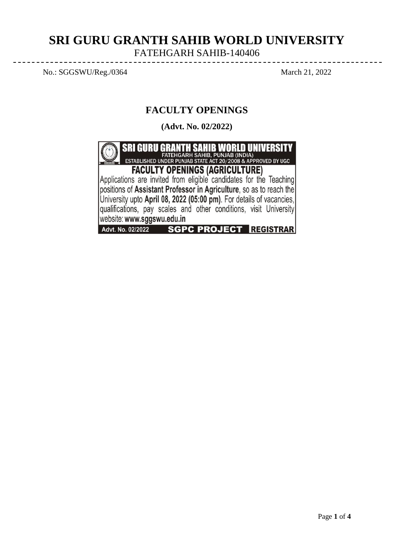# **SRI GURU GRANTH SAHIB WORLD UNIVERSITY** FATEHGARH SAHIB-140406

No.: SGGSWU/Reg./0364 March 21, 2022

# **FACULTY OPENINGS**

**(Advt. No. 02/2022)**

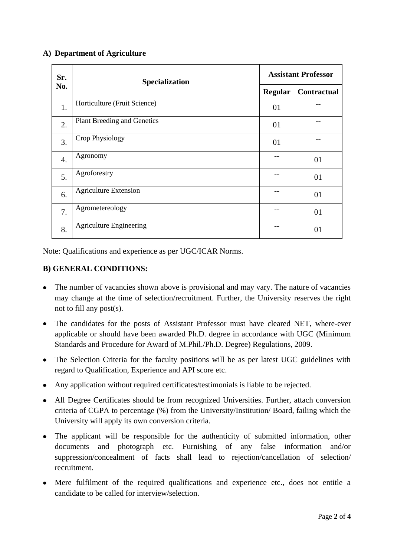## **A) Department of Agriculture**

| Sr.<br>No.       | Specialization                     | <b>Assistant Professor</b> |                    |
|------------------|------------------------------------|----------------------------|--------------------|
|                  |                                    | <b>Regular</b>             | <b>Contractual</b> |
| 1.               | Horticulture (Fruit Science)       | 01                         |                    |
| 2.               | <b>Plant Breeding and Genetics</b> | 01                         |                    |
| 3.               | Crop Physiology                    | 01                         |                    |
| $\overline{4}$ . | Agronomy                           |                            | 01                 |
| 5.               | Agroforestry                       |                            | 01                 |
| 6.               | <b>Agriculture Extension</b>       |                            | 01                 |
| 7.               | Agrometereology                    |                            | 01                 |
| 8.               | <b>Agriculture Engineering</b>     |                            | 01                 |

Note: Qualifications and experience as per UGC/ICAR Norms.

## **B) GENERAL CONDITIONS:**

- The number of vacancies shown above is provisional and may vary. The nature of vacancies may change at the time of selection/recruitment. Further, the University reserves the right not to fill any post(s).
- The candidates for the posts of Assistant Professor must have cleared NET, where-ever applicable or should have been awarded Ph.D. degree in accordance with UGC (Minimum Standards and Procedure for Award of M.Phil./Ph.D. Degree) Regulations, 2009.
- The Selection Criteria for the faculty positions will be as per latest UGC guidelines with regard to Qualification, Experience and API score etc.
- Any application without required certificates/testimonials is liable to be rejected.
- All Degree Certificates should be from recognized Universities. Further, attach conversion criteria of CGPA to percentage (%) from the University/Institution/ Board, failing which the University will apply its own conversion criteria.
- The applicant will be responsible for the authenticity of submitted information, other  $\bullet$ documents and photograph etc. Furnishing of any false information and/or suppression/concealment of facts shall lead to rejection/cancellation of selection/ recruitment.
- Mere fulfilment of the required qualifications and experience etc., does not entitle a candidate to be called for interview/selection.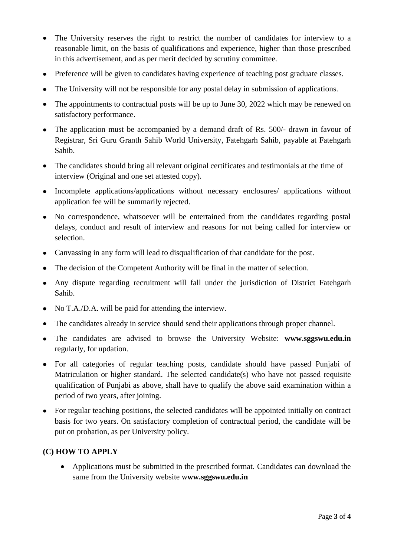- The University reserves the right to restrict the number of candidates for interview to a reasonable limit, on the basis of qualifications and experience, higher than those prescribed in this advertisement, and as per merit decided by scrutiny committee.
- Preference will be given to candidates having experience of teaching post graduate classes.
- The University will not be responsible for any postal delay in submission of applications.
- The appointments to contractual posts will be up to June 30, 2022 which may be renewed on satisfactory performance.
- The application must be accompanied by a demand draft of Rs. 500/- drawn in favour of Registrar, Sri Guru Granth Sahib World University, Fatehgarh Sahib, payable at Fatehgarh Sahib.
- The candidates should bring all relevant original certificates and testimonials at the time of interview (Original and one set attested copy).
- Incomplete applications/applications without necessary enclosures/ applications without application fee will be summarily rejected.
- No correspondence, whatsoever will be entertained from the candidates regarding postal delays, conduct and result of interview and reasons for not being called for interview or selection.
- Canvassing in any form will lead to disqualification of that candidate for the post.
- The decision of the Competent Authority will be final in the matter of selection.
- Any dispute regarding recruitment will fall under the jurisdiction of District Fatehgarh Sahib.
- No T.A./D.A. will be paid for attending the interview.
- The candidates already in service should send their applications through proper channel.
- The candidates are advised to browse the University Website: **www.sggswu.edu.in** regularly, for updation.
- For all categories of regular teaching posts, candidate should have passed Punjabi of Matriculation or higher standard. The selected candidate(s) who have not passed requisite qualification of Punjabi as above, shall have to qualify the above said examination within a period of two years, after joining.
- For regular teaching positions, the selected candidates will be appointed initially on contract basis for two years. On satisfactory completion of contractual period, the candidate will be put on probation, as per University policy.

## **(C) HOW TO APPLY**

Applications must be submitted in the prescribed format. Candidates can download the same from the University website w**ww.sggswu.edu.in**